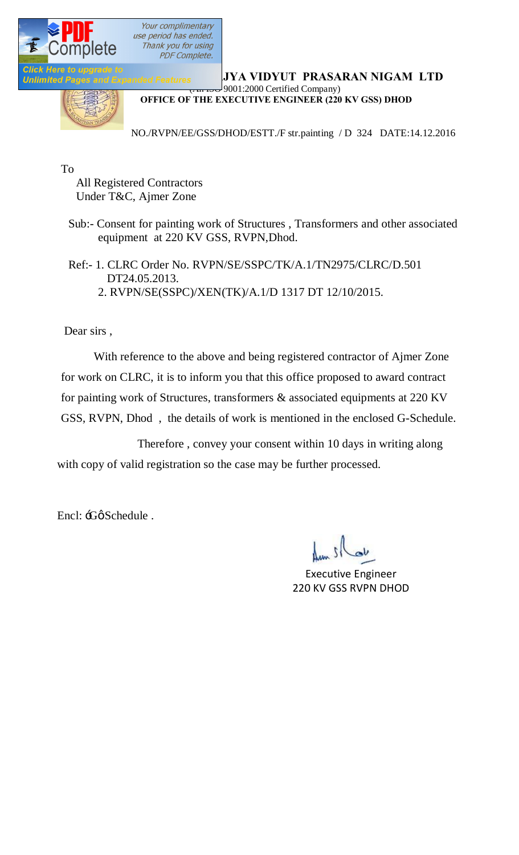

**RAJAGALARY RAJASHAN RAJASHAN RAJASHAN LTD**  $\frac{1}{2}$  9001:2000 Certified Company)

**OFFICE OF THE EXECUTIVE ENGINEER (220 KV GSS) DHOD**

NO./RVPN/EE/GSS/DHOD/ESTT./F str.painting / D 324 DATE:14.12.2016

To

 All Registered Contractors Under T&C, Ajmer Zone

 Sub:- Consent for painting work of Structures , Transformers and other associated equipment at 220 KV GSS, RVPN,Dhod.

 Ref:- 1. CLRC Order No. RVPN/SE/SSPC/TK/A.1/TN2975/CLRC/D.501 DT24.05.2013. 2. RVPN/SE(SSPC)/XEN(TK)/A.1/D 1317 DT 12/10/2015.

Dear sirs ,

 With reference to the above and being registered contractor of Ajmer Zone for work on CLRC, it is to inform you that this office proposed to award contract for painting work of Structures, transformers & associated equipments at 220 KV GSS, RVPN, Dhod , the details of work is mentioned in the enclosed G-Schedule.

 Therefore , convey your consent within 10 days in writing along with copy of valid registration so the case may be further processed.

Encl: :Gø Schedule .

Executive Engineer 220 KV GSS RVPN DHOD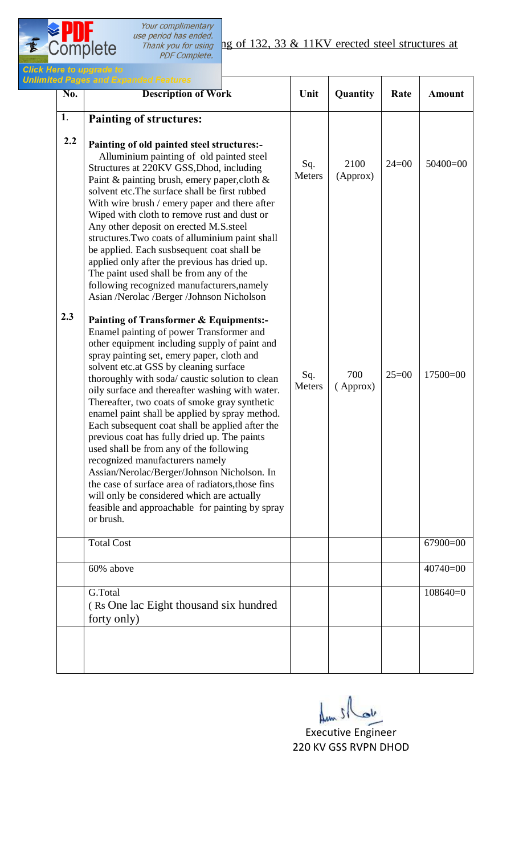$2^{PPV}$ 

| <b>Description of Work</b>                                                                                                                                                                                                                                                                                                                                                                                                                                                                                                                                                                                                                                                                                                                                                                                                                         | Unit          | Quantity         | Rate    | <b>Amount</b> |
|----------------------------------------------------------------------------------------------------------------------------------------------------------------------------------------------------------------------------------------------------------------------------------------------------------------------------------------------------------------------------------------------------------------------------------------------------------------------------------------------------------------------------------------------------------------------------------------------------------------------------------------------------------------------------------------------------------------------------------------------------------------------------------------------------------------------------------------------------|---------------|------------------|---------|---------------|
| <b>Painting of structures:</b>                                                                                                                                                                                                                                                                                                                                                                                                                                                                                                                                                                                                                                                                                                                                                                                                                     |               |                  |         |               |
| Painting of old painted steel structures:-<br>Alluminium painting of old painted steel<br>Structures at 220KV GSS, Dhod, including<br>Paint & painting brush, emery paper, cloth $\&$<br>solvent etc. The surface shall be first rubbed<br>With wire brush / emery paper and there after<br>Wiped with cloth to remove rust and dust or<br>Any other deposit on erected M.S.steel<br>structures. Two coats of alluminium paint shall<br>be applied. Each susbsequent coat shall be<br>applied only after the previous has dried up.<br>The paint used shall be from any of the<br>following recognized manufacturers, namely<br>Asian /Nerolac /Berger /Johnson Nicholson                                                                                                                                                                          | Sq.<br>Meters | 2100<br>(Approx) | $24=00$ | $50400=00$    |
| <b>Painting of Transformer &amp; Equipments:-</b><br>Enamel painting of power Transformer and<br>other equipment including supply of paint and<br>spray painting set, emery paper, cloth and<br>solvent etc.at GSS by cleaning surface<br>thoroughly with soda/ caustic solution to clean<br>oily surface and thereafter washing with water.<br>Thereafter, two coats of smoke gray synthetic<br>enamel paint shall be applied by spray method.<br>Each subsequent coat shall be applied after the<br>previous coat has fully dried up. The paints<br>used shall be from any of the following<br>recognized manufacturers namely<br>Assian/Nerolac/Berger/Johnson Nicholson. In<br>the case of surface area of radiators, those fins<br>will only be considered which are actually<br>feasible and approachable for painting by spray<br>or brush. | Sq.<br>Meters | 700<br>(Approx)  | $25=00$ | $17500=00$    |
| <b>Total Cost</b>                                                                                                                                                                                                                                                                                                                                                                                                                                                                                                                                                                                                                                                                                                                                                                                                                                  |               |                  |         | $67900=00$    |
| 60% above                                                                                                                                                                                                                                                                                                                                                                                                                                                                                                                                                                                                                                                                                                                                                                                                                                          |               |                  |         | $40740=00$    |
| G.Total<br>(Rs One lac Eight thousand six hundred                                                                                                                                                                                                                                                                                                                                                                                                                                                                                                                                                                                                                                                                                                                                                                                                  |               |                  |         | $108640=0$    |
|                                                                                                                                                                                                                                                                                                                                                                                                                                                                                                                                                                                                                                                                                                                                                                                                                                                    |               |                  |         |               |

Executive Engineer 220 KV GSS RVPN DHOD